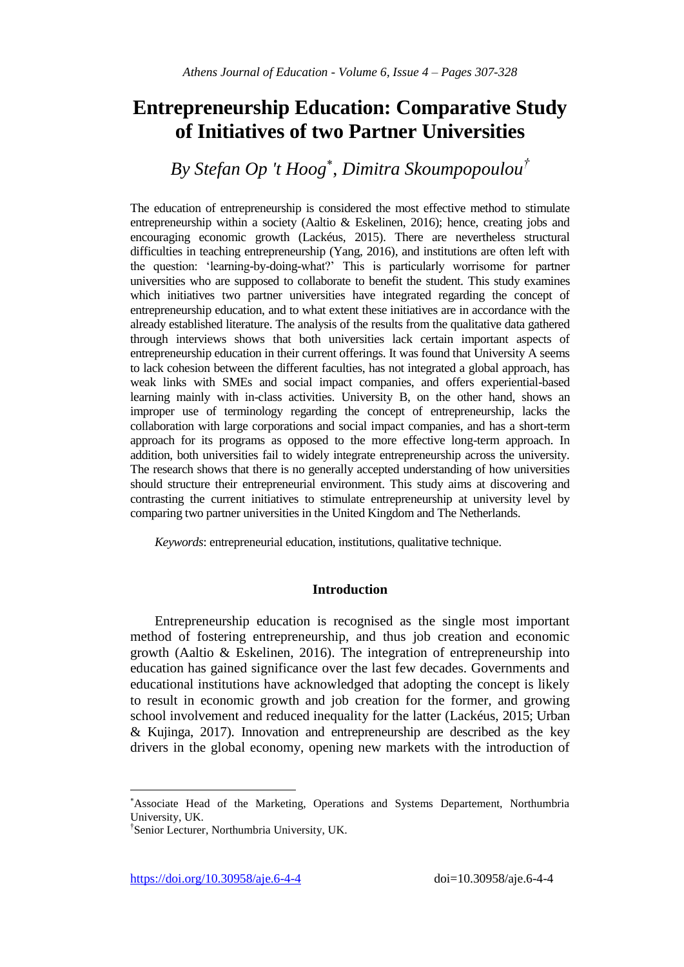# **Entrepreneurship Education: Comparative Study of Initiatives of two Partner Universities**

# *By Stefan Op 't Hoog* , *Dimitra Skoumpopoulou†*

The education of entrepreneurship is considered the most effective method to stimulate entrepreneurship within a society (Aaltio & Eskelinen, 2016); hence, creating jobs and encouraging economic growth (Lackéus, 2015). There are nevertheless structural difficulties in teaching entrepreneurship (Yang, 2016), and institutions are often left with the question: 'learning-by-doing-what?' This is particularly worrisome for partner universities who are supposed to collaborate to benefit the student. This study examines which initiatives two partner universities have integrated regarding the concept of entrepreneurship education, and to what extent these initiatives are in accordance with the already established literature. The analysis of the results from the qualitative data gathered through interviews shows that both universities lack certain important aspects of entrepreneurship education in their current offerings. It was found that University A seems to lack cohesion between the different faculties, has not integrated a global approach, has weak links with SMEs and social impact companies, and offers experiential-based learning mainly with in-class activities. University B, on the other hand, shows an improper use of terminology regarding the concept of entrepreneurship, lacks the collaboration with large corporations and social impact companies, and has a short-term approach for its programs as opposed to the more effective long-term approach. In addition, both universities fail to widely integrate entrepreneurship across the university. The research shows that there is no generally accepted understanding of how universities should structure their entrepreneurial environment. This study aims at discovering and contrasting the current initiatives to stimulate entrepreneurship at university level by comparing two partner universities in the United Kingdom and The Netherlands.

*Keywords*: entrepreneurial education, institutions, qualitative technique.

### **Introduction**

Entrepreneurship education is recognised as the single most important method of fostering entrepreneurship, and thus job creation and economic growth (Aaltio & Eskelinen, 2016). The integration of entrepreneurship into education has gained significance over the last few decades. Governments and educational institutions have acknowledged that adopting the concept is likely to result in economic growth and job creation for the former, and growing school involvement and reduced inequality for the latter (Lackéus, 2015; Urban & Kujinga, 2017). Innovation and entrepreneurship are described as the key drivers in the global economy, opening new markets with the introduction of

 $\overline{\phantom{a}}$ 

Associate Head of the Marketing, Operations and Systems Departement, Northumbria University, UK.

<sup>†</sup> Senior Lecturer, Northumbria University, UK.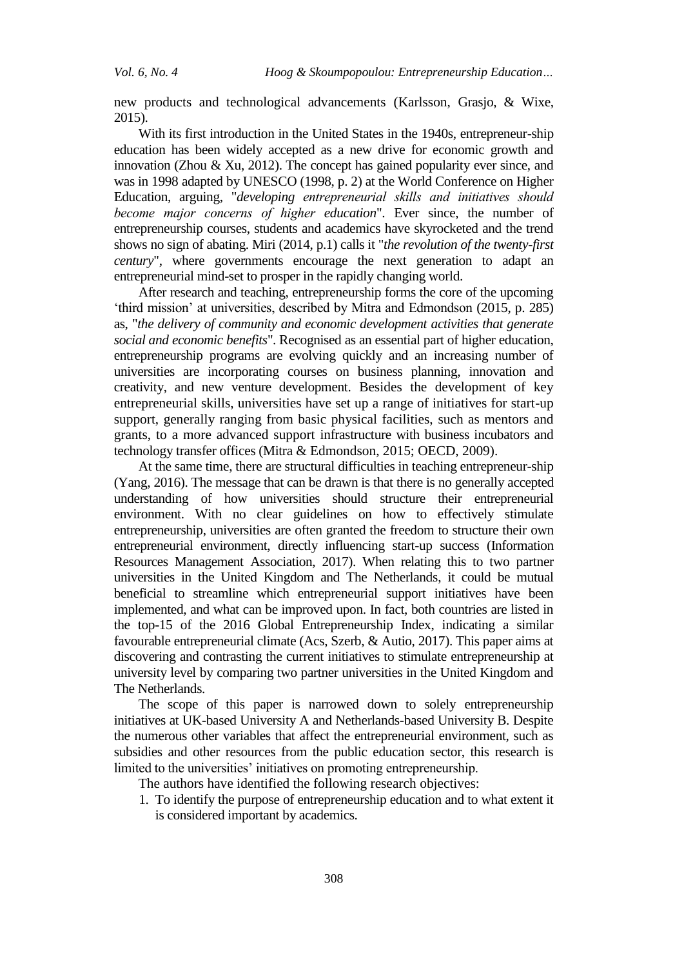new products and technological advancements (Karlsson, Grasjo, & Wixe, 2015).

With its first introduction in the United States in the 1940s, entrepreneur-ship education has been widely accepted as a new drive for economic growth and innovation (Zhou & Xu, 2012). The concept has gained popularity ever since, and was in 1998 adapted by UNESCO (1998, p. 2) at the World Conference on Higher Education, arguing, "*developing entrepreneurial skills and initiatives should become major concerns of higher education*". Ever since, the number of entrepreneurship courses, students and academics have skyrocketed and the trend shows no sign of abating. Miri (2014, p.1) calls it "*the revolution of the twenty-first century*", where governments encourage the next generation to adapt an entrepreneurial mind-set to prosper in the rapidly changing world.

After research and teaching, entrepreneurship forms the core of the upcoming 'third mission' at universities, described by Mitra and Edmondson (2015, p. 285) as, "*the delivery of community and economic development activities that generate social and economic benefits*". Recognised as an essential part of higher education, entrepreneurship programs are evolving quickly and an increasing number of universities are incorporating courses on business planning, innovation and creativity, and new venture development. Besides the development of key entrepreneurial skills, universities have set up a range of initiatives for start-up support, generally ranging from basic physical facilities, such as mentors and grants, to a more advanced support infrastructure with business incubators and technology transfer offices (Mitra & Edmondson, 2015; OECD, 2009).

At the same time, there are structural difficulties in teaching entrepreneur-ship (Yang, 2016). The message that can be drawn is that there is no generally accepted understanding of how universities should structure their entrepreneurial environment. With no clear guidelines on how to effectively stimulate entrepreneurship, universities are often granted the freedom to structure their own entrepreneurial environment, directly influencing start-up success (Information Resources Management Association, 2017). When relating this to two partner universities in the United Kingdom and The Netherlands, it could be mutual beneficial to streamline which entrepreneurial support initiatives have been implemented, and what can be improved upon. In fact, both countries are listed in the top-15 of the 2016 Global Entrepreneurship Index, indicating a similar favourable entrepreneurial climate (Acs, Szerb, & Autio, 2017). This paper aims at discovering and contrasting the current initiatives to stimulate entrepreneurship at university level by comparing two partner universities in the United Kingdom and The Netherlands.

The scope of this paper is narrowed down to solely entrepreneurship initiatives at UK-based University A and Netherlands-based University B. Despite the numerous other variables that affect the entrepreneurial environment, such as subsidies and other resources from the public education sector, this research is limited to the universities' initiatives on promoting entrepreneurship.

The authors have identified the following research objectives:

1. To identify the purpose of entrepreneurship education and to what extent it is considered important by academics.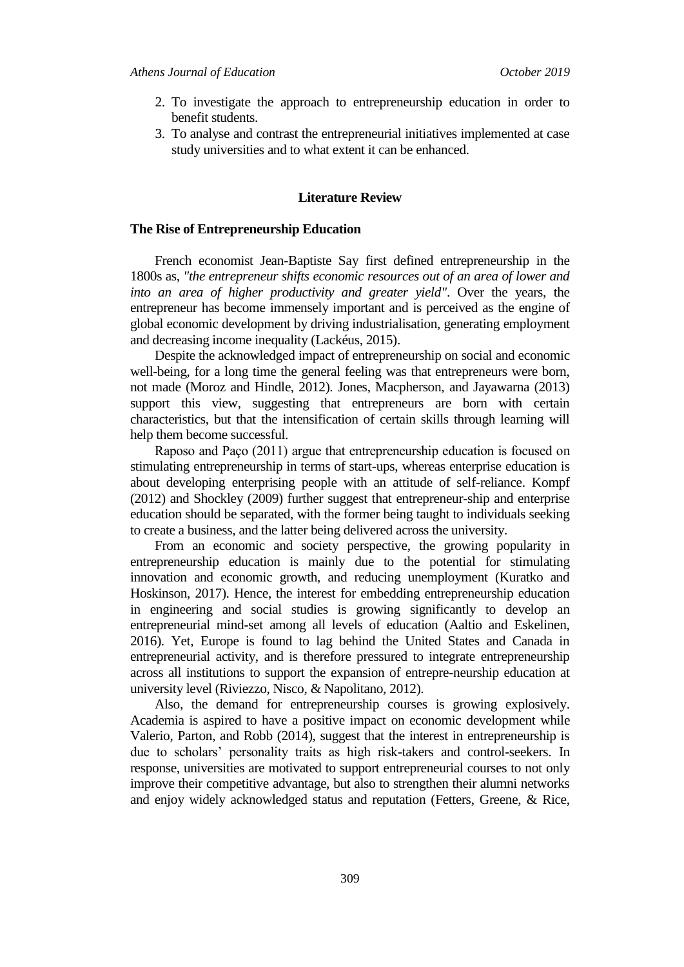- 2. To investigate the approach to entrepreneurship education in order to benefit students.
- 3. To analyse and contrast the entrepreneurial initiatives implemented at case study universities and to what extent it can be enhanced.

### **Literature Review**

#### **The Rise of Entrepreneurship Education**

French economist Jean-Baptiste Say first defined entrepreneurship in the 1800s as, *"the entrepreneur shifts economic resources out of an area of lower and into an area of higher productivity and greater yield"*. Over the years, the entrepreneur has become immensely important and is perceived as the engine of global economic development by driving industrialisation, generating employment and decreasing income inequality (Lackéus, 2015).

Despite the acknowledged impact of entrepreneurship on social and economic well-being, for a long time the general feeling was that entrepreneurs were born, not made (Moroz and Hindle, 2012). Jones, Macpherson, and Jayawarna (2013) support this view, suggesting that entrepreneurs are born with certain characteristics, but that the intensification of certain skills through learning will help them become successful.

Raposo and Paço (2011) argue that entrepreneurship education is focused on stimulating entrepreneurship in terms of start-ups, whereas enterprise education is about developing enterprising people with an attitude of self-reliance. Kompf (2012) and Shockley (2009) further suggest that entrepreneur-ship and enterprise education should be separated, with the former being taught to individuals seeking to create a business, and the latter being delivered across the university.

From an economic and society perspective, the growing popularity in entrepreneurship education is mainly due to the potential for stimulating innovation and economic growth, and reducing unemployment (Kuratko and Hoskinson, 2017). Hence, the interest for embedding entrepreneurship education in engineering and social studies is growing significantly to develop an entrepreneurial mind-set among all levels of education (Aaltio and Eskelinen, 2016). Yet, Europe is found to lag behind the United States and Canada in entrepreneurial activity, and is therefore pressured to integrate entrepreneurship across all institutions to support the expansion of entrepre-neurship education at university level (Riviezzo, Nisco, & Napolitano, 2012).

Also, the demand for entrepreneurship courses is growing explosively. Academia is aspired to have a positive impact on economic development while Valerio, Parton, and Robb (2014), suggest that the interest in entrepreneurship is due to scholars' personality traits as high risk-takers and control-seekers. In response, universities are motivated to support entrepreneurial courses to not only improve their competitive advantage, but also to strengthen their alumni networks and enjoy widely acknowledged status and reputation (Fetters, Greene, & Rice,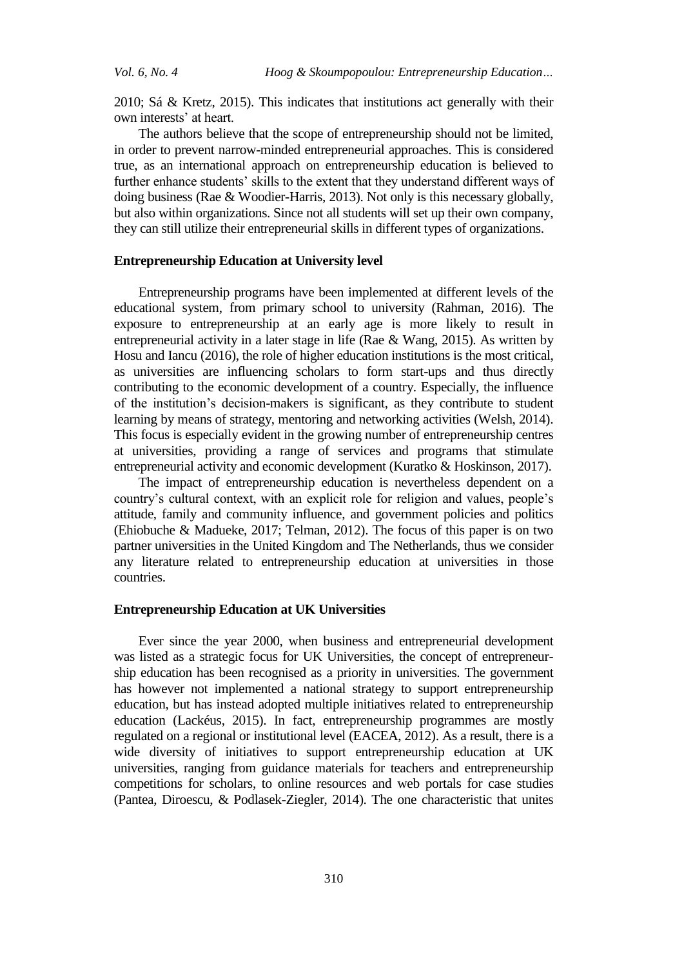2010; Sá & Kretz, 2015). This indicates that institutions act generally with their own interests' at heart.

The authors believe that the scope of entrepreneurship should not be limited, in order to prevent narrow-minded entrepreneurial approaches. This is considered true, as an international approach on entrepreneurship education is believed to further enhance students' skills to the extent that they understand different ways of doing business (Rae & Woodier-Harris, 2013). Not only is this necessary globally, but also within organizations. Since not all students will set up their own company, they can still utilize their entrepreneurial skills in different types of organizations.

#### **Entrepreneurship Education at University level**

Entrepreneurship programs have been implemented at different levels of the educational system, from primary school to university (Rahman, 2016). The exposure to entrepreneurship at an early age is more likely to result in entrepreneurial activity in a later stage in life (Rae & Wang, 2015). As written by Hosu and Iancu (2016), the role of higher education institutions is the most critical, as universities are influencing scholars to form start-ups and thus directly contributing to the economic development of a country. Especially, the influence of the institution's decision-makers is significant, as they contribute to student learning by means of strategy, mentoring and networking activities (Welsh, 2014). This focus is especially evident in the growing number of entrepreneurship centres at universities, providing a range of services and programs that stimulate entrepreneurial activity and economic development (Kuratko & Hoskinson, 2017).

The impact of entrepreneurship education is nevertheless dependent on a country's cultural context, with an explicit role for religion and values, people's attitude, family and community influence, and government policies and politics (Ehiobuche & Madueke, 2017; Telman, 2012). The focus of this paper is on two partner universities in the United Kingdom and The Netherlands, thus we consider any literature related to entrepreneurship education at universities in those countries.

#### **Entrepreneurship Education at UK Universities**

Ever since the year 2000, when business and entrepreneurial development was listed as a strategic focus for UK Universities, the concept of entrepreneurship education has been recognised as a priority in universities. The government has however not implemented a national strategy to support entrepreneurship education, but has instead adopted multiple initiatives related to entrepreneurship education (Lackéus, 2015). In fact, entrepreneurship programmes are mostly regulated on a regional or institutional level (EACEA, 2012). As a result, there is a wide diversity of initiatives to support entrepreneurship education at UK universities, ranging from guidance materials for teachers and entrepreneurship competitions for scholars, to online resources and web portals for case studies (Pantea, Diroescu, & Podlasek-Ziegler, 2014). The one characteristic that unites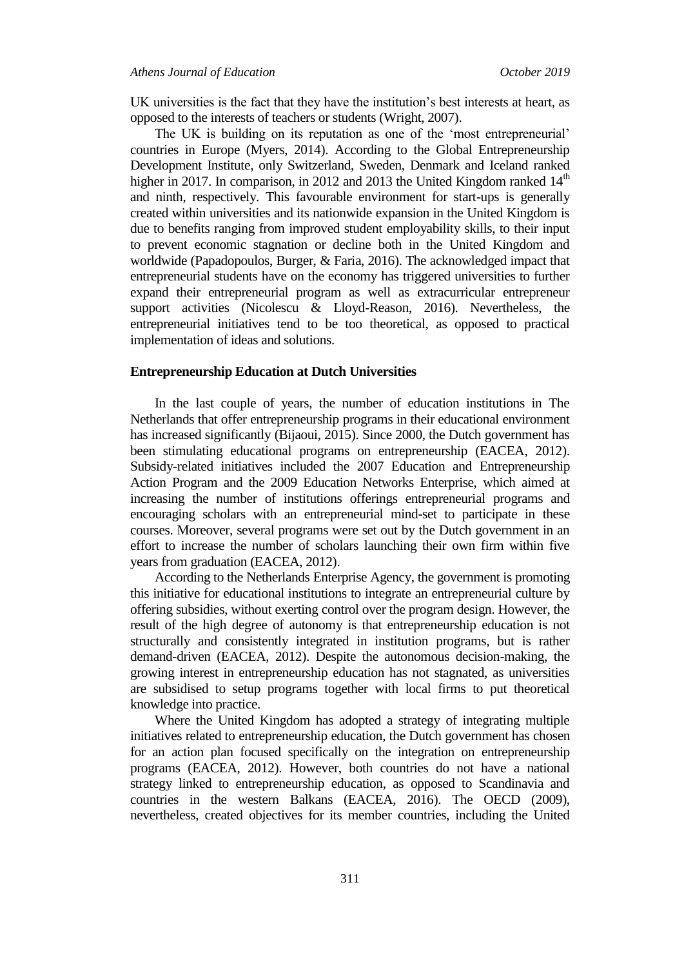UK universities is the fact that they have the institution's best interests at heart, as opposed to the interests of teachers or students (Wright, 2007).

The UK is building on its reputation as one of the 'most entrepreneurial' countries in Europe (Myers, 2014). According to the Global Entrepreneurship Development Institute, only Switzerland, Sweden, Denmark and Iceland ranked higher in 2017. In comparison, in 2012 and 2013 the United Kingdom ranked  $14<sup>th</sup>$ and ninth, respectively. This favourable environment for start-ups is generally created within universities and its nationwide expansion in the United Kingdom is due to benefits ranging from improved student employability skills, to their input to prevent economic stagnation or decline both in the United Kingdom and worldwide (Papadopoulos, Burger, & Faria, 2016). The acknowledged impact that entrepreneurial students have on the economy has triggered universities to further expand their entrepreneurial program as well as extracurricular entrepreneur support activities (Nicolescu & Lloyd-Reason, 2016). Nevertheless, the entrepreneurial initiatives tend to be too theoretical, as opposed to practical implementation of ideas and solutions.

#### **Entrepreneurship Education at Dutch Universities**

In the last couple of years, the number of education institutions in The Netherlands that offer entrepreneurship programs in their educational environment has increased significantly (Bijaoui, 2015). Since 2000, the Dutch government has been stimulating educational programs on entrepreneurship (EACEA, 2012). Subsidy-related initiatives included the 2007 Education and Entrepreneurship Action Program and the 2009 Education Networks Enterprise, which aimed at increasing the number of institutions offerings entrepreneurial programs and encouraging scholars with an entrepreneurial mind-set to participate in these courses. Moreover, several programs were set out by the Dutch government in an effort to increase the number of scholars launching their own firm within five years from graduation (EACEA, 2012).

According to the Netherlands Enterprise Agency, the government is promoting this initiative for educational institutions to integrate an entrepreneurial culture by offering subsidies, without exerting control over the program design. However, the result of the high degree of autonomy is that entrepreneurship education is not structurally and consistently integrated in institution programs, but is rather demand-driven (EACEA, 2012). Despite the autonomous decision-making, the growing interest in entrepreneurship education has not stagnated, as universities are subsidised to setup programs together with local firms to put theoretical knowledge into practice.

Where the United Kingdom has adopted a strategy of integrating multiple initiatives related to entrepreneurship education, the Dutch government has chosen for an action plan focused specifically on the integration on entrepreneurship programs (EACEA, 2012). However, both countries do not have a national strategy linked to entrepreneurship education, as opposed to Scandinavia and countries in the western Balkans (EACEA, 2016). The OECD (2009), nevertheless, created objectives for its member countries, including the United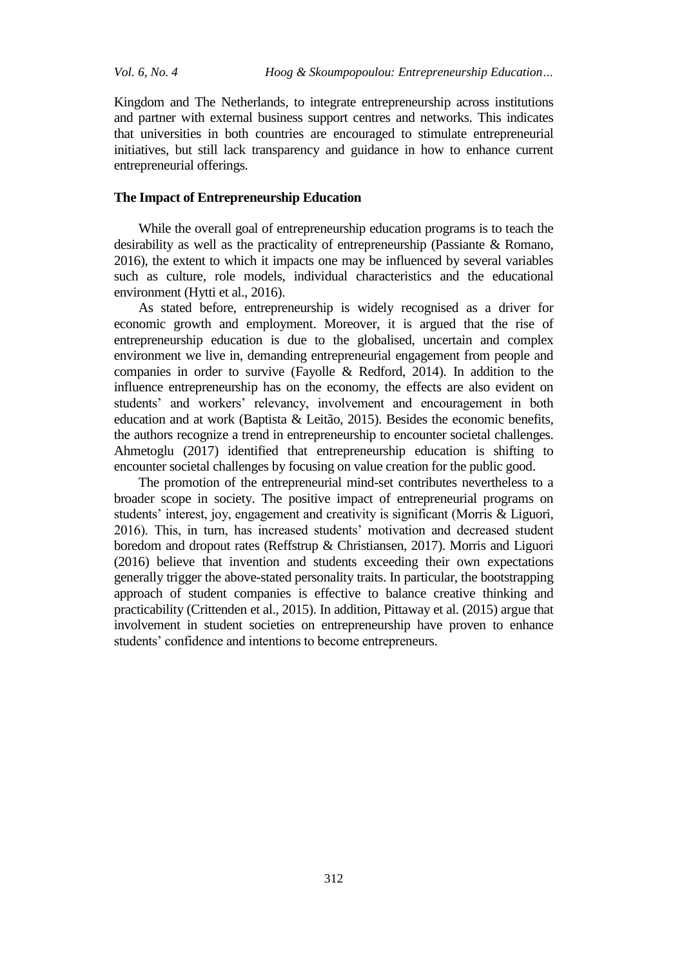Kingdom and The Netherlands, to integrate entrepreneurship across institutions and partner with external business support centres and networks. This indicates that universities in both countries are encouraged to stimulate entrepreneurial initiatives, but still lack transparency and guidance in how to enhance current entrepreneurial offerings.

#### **The Impact of Entrepreneurship Education**

While the overall goal of entrepreneurship education programs is to teach the desirability as well as the practicality of entrepreneurship (Passiante & Romano, 2016), the extent to which it impacts one may be influenced by several variables such as culture, role models, individual characteristics and the educational environment (Hytti et al., 2016).

As stated before, entrepreneurship is widely recognised as a driver for economic growth and employment. Moreover, it is argued that the rise of entrepreneurship education is due to the globalised, uncertain and complex environment we live in, demanding entrepreneurial engagement from people and companies in order to survive (Fayolle & Redford, 2014). In addition to the influence entrepreneurship has on the economy, the effects are also evident on students' and workers' relevancy, involvement and encouragement in both education and at work (Baptista & Leitão, 2015). Besides the economic benefits, the authors recognize a trend in entrepreneurship to encounter societal challenges. Ahmetoglu (2017) identified that entrepreneurship education is shifting to encounter societal challenges by focusing on value creation for the public good.

The promotion of the entrepreneurial mind-set contributes nevertheless to a broader scope in society. The positive impact of entrepreneurial programs on students' interest, joy, engagement and creativity is significant Morris & Liguori, 2016). This, in turn, has increased students' motivation and decreased student boredom and dropout rates (Reffstrup & Christiansen, 2017). Morris and Liguori (2016) believe that invention and students exceeding their own expectations generally trigger the above-stated personality traits. In particular, the bootstrapping approach of student companies is effective to balance creative thinking and practicability (Crittenden et al., 2015). In addition, Pittaway et al. (2015) argue that involvement in student societies on entrepreneurship have proven to enhance students' confidence and intentions to become entrepreneurs.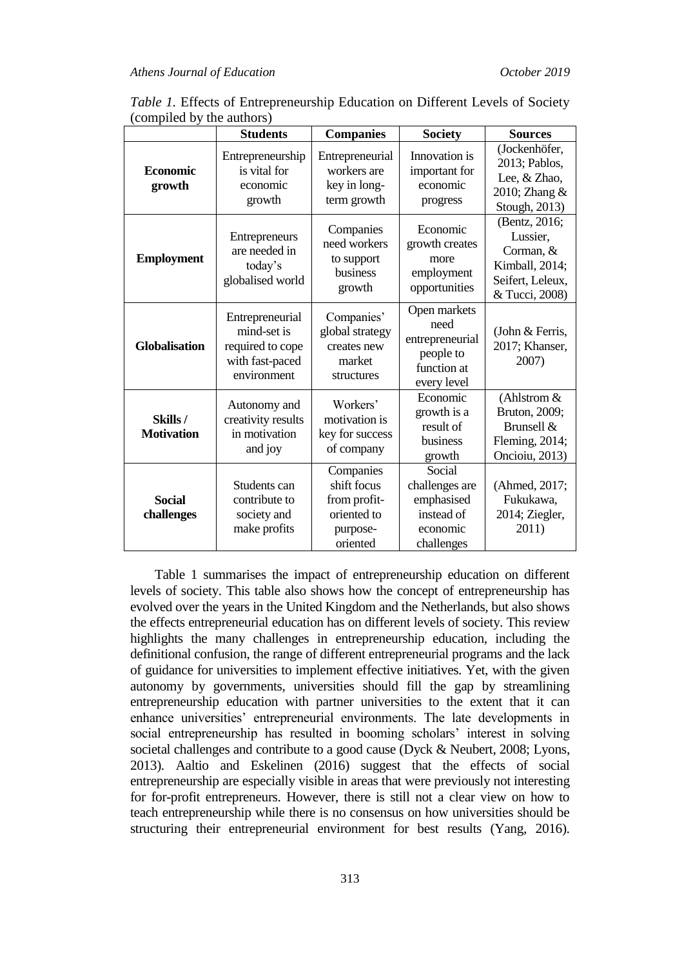|                              | <b>Students</b>                                                                      | <b>Companies</b>                                                                | <b>Society</b>                                                                     | <b>Sources</b>                                                                                 |
|------------------------------|--------------------------------------------------------------------------------------|---------------------------------------------------------------------------------|------------------------------------------------------------------------------------|------------------------------------------------------------------------------------------------|
| <b>Economic</b><br>growth    | Entrepreneurship<br>is vital for<br>economic<br>growth                               | Entrepreneurial<br>workers are<br>key in long-<br>term growth                   | Innovation is<br>important for<br>economic<br>progress                             | (Jockenhöfer,<br>2013; Pablos,<br>Lee, & Zhao,<br>2010; Zhang &<br>Stough, 2013)               |
| <b>Employment</b>            | Entrepreneurs<br>are needed in<br>today's<br>globalised world                        | Companies<br>need workers<br>to support<br>business<br>growth                   | Economic<br>growth creates<br>more<br>employment<br>opportunities                  | (Bentz, 2016;<br>Lussier,<br>Corman, &<br>Kimball, 2014;<br>Seifert, Leleux,<br>& Tucci, 2008) |
| <b>Globalisation</b>         | Entrepreneurial<br>mind-set is<br>required to cope<br>with fast-paced<br>environment | Companies'<br>global strategy<br>creates new<br>market<br>structures            | Open markets<br>need<br>entrepreneurial<br>people to<br>function at<br>every level | (John & Ferris,<br>2017; Khanser,<br>2007)                                                     |
| Skills/<br><b>Motivation</b> | Autonomy and<br>creativity results<br>in motivation<br>and joy                       | Workers'<br>motivation is<br>key for success<br>of company                      | Economic<br>growth is a<br>result of<br>business<br>growth                         | (Ahlstrom $&$<br>Bruton, 2009;<br>Brunsell &<br>Fleming, 2014;<br>Oncioiu, 2013)               |
| <b>Social</b><br>challenges  | Students can<br>contribute to<br>society and<br>make profits                         | Companies<br>shift focus<br>from profit-<br>oriented to<br>purpose-<br>oriented | Social<br>challenges are<br>emphasised<br>instead of<br>economic<br>challenges     | (Ahmed, 2017;<br>Fukukawa,<br>2014; Ziegler,<br>2011)                                          |

*Table 1.* Effects of Entrepreneurship Education on Different Levels of Society (compiled by the authors)

Table 1 summarises the impact of entrepreneurship education on different levels of society. This table also shows how the concept of entrepreneurship has evolved over the years in the United Kingdom and the Netherlands, but also shows the effects entrepreneurial education has on different levels of society. This review highlights the many challenges in entrepreneurship education, including the definitional confusion, the range of different entrepreneurial programs and the lack of guidance for universities to implement effective initiatives. Yet, with the given autonomy by governments, universities should fill the gap by streamlining entrepreneurship education with partner universities to the extent that it can enhance universities' entrepreneurial environments. The late developments in social entrepreneurship has resulted in booming scholars' interest in solving societal challenges and contribute to a good cause (Dyck & Neubert, 2008; Lyons, 2013). Aaltio and Eskelinen (2016) suggest that the effects of social entrepreneurship are especially visible in areas that were previously not interesting for for-profit entrepreneurs. However, there is still not a clear view on how to teach entrepreneurship while there is no consensus on how universities should be structuring their entrepreneurial environment for best results (Yang, 2016).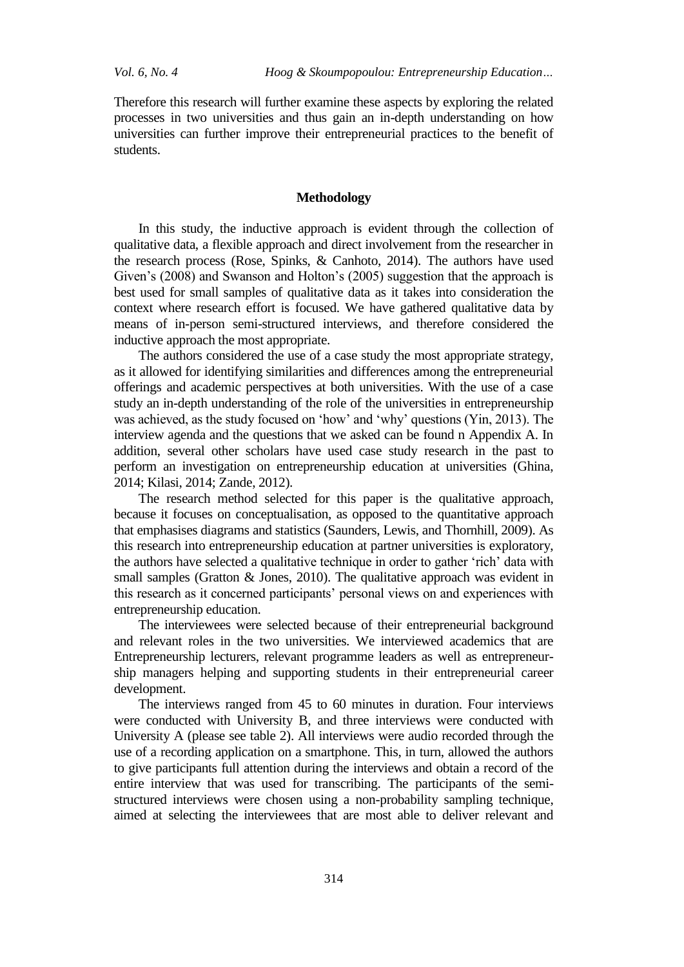Therefore this research will further examine these aspects by exploring the related processes in two universities and thus gain an in-depth understanding on how universities can further improve their entrepreneurial practices to the benefit of students.

#### **Methodology**

In this study, the inductive approach is evident through the collection of qualitative data, a flexible approach and direct involvement from the researcher in the research process (Rose, Spinks, & Canhoto, 2014). The authors have used Given's  $(2008)$  and Swanson and Holton's  $(2005)$  suggestion that the approach is best used for small samples of qualitative data as it takes into consideration the context where research effort is focused. We have gathered qualitative data by means of in-person semi-structured interviews, and therefore considered the inductive approach the most appropriate.

The authors considered the use of a case study the most appropriate strategy, as it allowed for identifying similarities and differences among the entrepreneurial offerings and academic perspectives at both universities. With the use of a case study an in-depth understanding of the role of the universities in entrepreneurship was achieved, as the study focused on 'how' and 'why' questions (Yin, 2013). The interview agenda and the questions that we asked can be found n Appendix A. In addition, several other scholars have used case study research in the past to perform an investigation on entrepreneurship education at universities (Ghina, 2014; Kilasi, 2014; Zande, 2012).

The research method selected for this paper is the qualitative approach, because it focuses on conceptualisation, as opposed to the quantitative approach that emphasises diagrams and statistics (Saunders, Lewis, and Thornhill, 2009). As this research into entrepreneurship education at partner universities is exploratory, the authors have selected a qualitative technique in order to gather 'rich' data with small samples (Gratton & Jones, 2010). The qualitative approach was evident in this research as it concerned participants' personal views on and experiences with entrepreneurship education.

The interviewees were selected because of their entrepreneurial background and relevant roles in the two universities. We interviewed academics that are Entrepreneurship lecturers, relevant programme leaders as well as entrepreneurship managers helping and supporting students in their entrepreneurial career development.

The interviews ranged from 45 to 60 minutes in duration. Four interviews were conducted with University B, and three interviews were conducted with University A (please see table 2). All interviews were audio recorded through the use of a recording application on a smartphone. This, in turn, allowed the authors to give participants full attention during the interviews and obtain a record of the entire interview that was used for transcribing. The participants of the semistructured interviews were chosen using a non-probability sampling technique, aimed at selecting the interviewees that are most able to deliver relevant and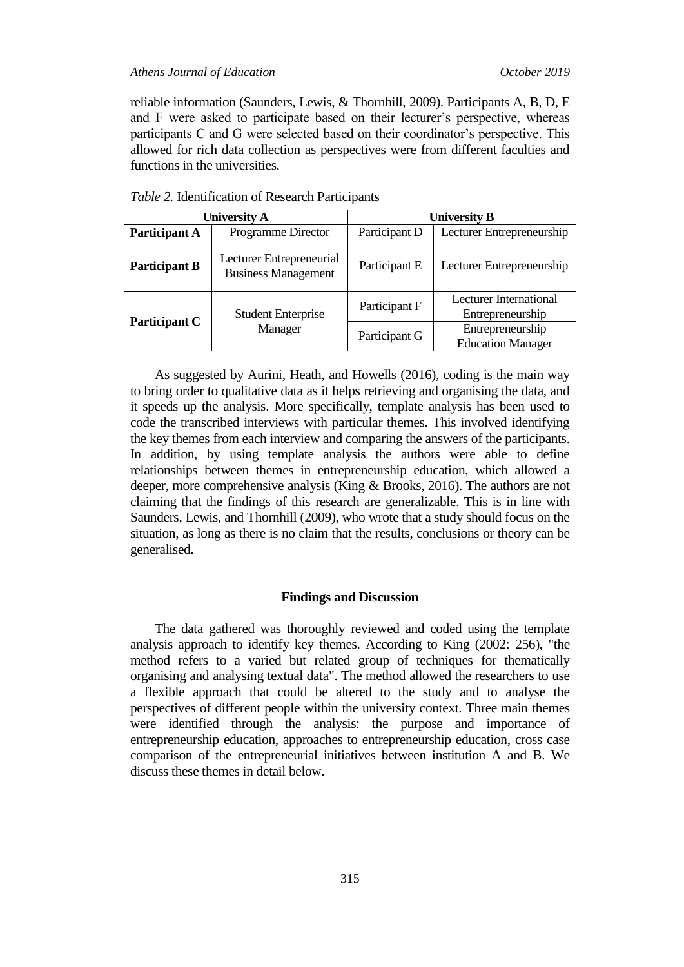#### *Athens Journal of Education October 2019*

reliable information (Saunders, Lewis, & Thornhill, 2009). Participants A, B, D, E and F were asked to participate based on their lecturer's perspective, whereas participants C and G were selected based on their coordinator's perspective. This allowed for rich data collection as perspectives were from different faculties and functions in the universities.

| <b>University A</b>  |                                                        | <b>University B</b> |                                                   |  |
|----------------------|--------------------------------------------------------|---------------------|---------------------------------------------------|--|
| <b>Participant A</b> | <b>Programme Director</b>                              | Participant D       | Lecturer Entrepreneurship                         |  |
| <b>Participant B</b> | Lecturer Entrepreneurial<br><b>Business Management</b> | Participant E       | Lecturer Entrepreneurship                         |  |
| <b>Participant C</b> | <b>Student Enterprise</b><br>Manager                   | Participant F       | <b>Lecturer International</b><br>Entrepreneurship |  |
|                      |                                                        | Participant G       | Entrepreneurship<br><b>Education Manager</b>      |  |

*Table 2.* Identification of Research Participants

As suggested by Aurini, Heath, and Howells (2016), coding is the main way to bring order to qualitative data as it helps retrieving and organising the data, and it speeds up the analysis. More specifically, template analysis has been used to code the transcribed interviews with particular themes. This involved identifying the key themes from each interview and comparing the answers of the participants. In addition, by using template analysis the authors were able to define relationships between themes in entrepreneurship education, which allowed a deeper, more comprehensive analysis (King & Brooks, 2016). The authors are not claiming that the findings of this research are generalizable. This is in line with Saunders, Lewis, and Thornhill (2009), who wrote that a study should focus on the situation, as long as there is no claim that the results, conclusions or theory can be generalised.

#### **Findings and Discussion**

The data gathered was thoroughly reviewed and coded using the template analysis approach to identify key themes. According to King (2002: 256), "the method refers to a varied but related group of techniques for thematically organising and analysing textual data". The method allowed the researchers to use a flexible approach that could be altered to the study and to analyse the perspectives of different people within the university context. Three main themes were identified through the analysis: the purpose and importance of entrepreneurship education, approaches to entrepreneurship education, cross case comparison of the entrepreneurial initiatives between institution A and B. We discuss these themes in detail below.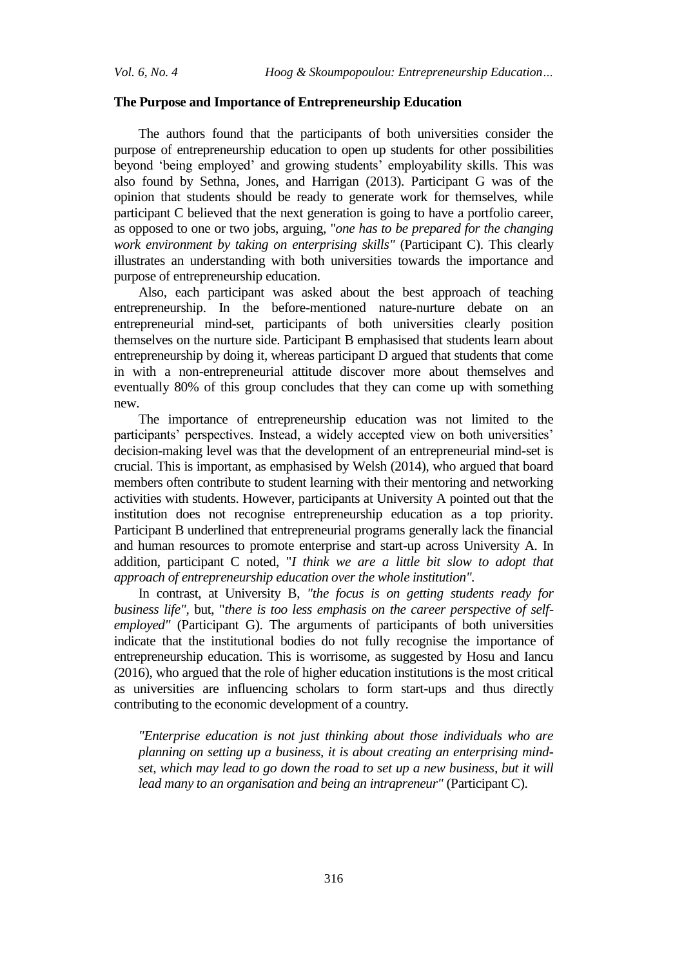#### **The Purpose and Importance of Entrepreneurship Education**

The authors found that the participants of both universities consider the purpose of entrepreneurship education to open up students for other possibilities beyond 'being employed' and growing students' employability skills. This was also found by Sethna, Jones, and Harrigan (2013). Participant G was of the opinion that students should be ready to generate work for themselves, while participant C believed that the next generation is going to have a portfolio career, as opposed to one or two jobs, arguing, "*one has to be prepared for the changing work environment by taking on enterprising skills"* (Participant C). This clearly illustrates an understanding with both universities towards the importance and purpose of entrepreneurship education.

Also, each participant was asked about the best approach of teaching entrepreneurship. In the before-mentioned nature-nurture debate on an entrepreneurial mind-set, participants of both universities clearly position themselves on the nurture side. Participant B emphasised that students learn about entrepreneurship by doing it, whereas participant D argued that students that come in with a non-entrepreneurial attitude discover more about themselves and eventually 80% of this group concludes that they can come up with something new.

The importance of entrepreneurship education was not limited to the participants' perspectives. Instead, a widely accepted view on both universities' decision-making level was that the development of an entrepreneurial mind-set is crucial. This is important, as emphasised by Welsh (2014), who argued that board members often contribute to student learning with their mentoring and networking activities with students. However, participants at University A pointed out that the institution does not recognise entrepreneurship education as a top priority. Participant B underlined that entrepreneurial programs generally lack the financial and human resources to promote enterprise and start-up across University A. In addition, participant C noted, "*I think we are a little bit slow to adopt that approach of entrepreneurship education over the whole institution".*

In contrast, at University B, *"the focus is on getting students ready for business life",* but, "*there is too less emphasis on the career perspective of selfemployed"* (Participant G). The arguments of participants of both universities indicate that the institutional bodies do not fully recognise the importance of entrepreneurship education. This is worrisome, as suggested by Hosu and Iancu (2016), who argued that the role of higher education institutions is the most critical as universities are influencing scholars to form start-ups and thus directly contributing to the economic development of a country.

*"Enterprise education is not just thinking about those individuals who are planning on setting up a business, it is about creating an enterprising mindset, which may lead to go down the road to set up a new business, but it will lead many to an organisation and being an intrapreneur"* (Participant C).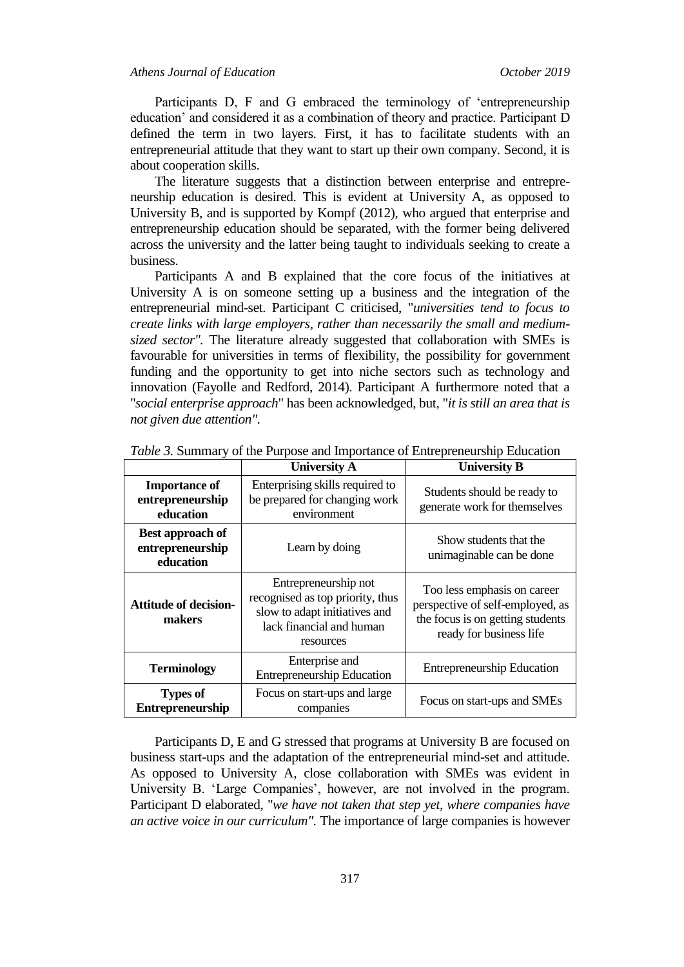Participants D, F and G embraced the terminology of 'entrepreneurship education' and considered it as a combination of theory and practice. Participant D defined the term in two layers. First, it has to facilitate students with an entrepreneurial attitude that they want to start up their own company. Second, it is about cooperation skills.

The literature suggests that a distinction between enterprise and entrepreneurship education is desired. This is evident at University A, as opposed to University B, and is supported by Kompf (2012), who argued that enterprise and entrepreneurship education should be separated, with the former being delivered across the university and the latter being taught to individuals seeking to create a business.

Participants A and B explained that the core focus of the initiatives at University A is on someone setting up a business and the integration of the entrepreneurial mind-set. Participant C criticised, "*universities tend to focus to create links with large employers, rather than necessarily the small and mediumsized sector".* The literature already suggested that collaboration with SMEs is favourable for universities in terms of flexibility, the possibility for government funding and the opportunity to get into niche sectors such as technology and innovation (Fayolle and Redford, 2014). Participant A furthermore noted that a "*social enterprise approach*" has been acknowledged, but, "*it is still an area that is not given due attention".*

| <i>racic of Sammary</i> of the rangelo and importance of Emreprenetation Education |                                                                                                                                    |                                                                                                                                |  |
|------------------------------------------------------------------------------------|------------------------------------------------------------------------------------------------------------------------------------|--------------------------------------------------------------------------------------------------------------------------------|--|
|                                                                                    | <b>University A</b>                                                                                                                | <b>University B</b>                                                                                                            |  |
| <b>Importance of</b><br>entrepreneurship<br>education                              | Enterprising skills required to<br>be prepared for changing work<br>environment                                                    | Students should be ready to<br>generate work for themselves                                                                    |  |
| Best approach of<br>entrepreneurship<br>education                                  | Learn by doing                                                                                                                     | Show students that the<br>unimaginable can be done                                                                             |  |
| <b>Attitude of decision-</b><br>makers                                             | Entrepreneurship not<br>recognised as top priority, thus<br>slow to adapt initiatives and<br>lack financial and human<br>resources | Too less emphasis on career<br>perspective of self-employed, as<br>the focus is on getting students<br>ready for business life |  |
| <b>Terminology</b>                                                                 | Enterprise and<br><b>Entrepreneurship Education</b>                                                                                | <b>Entrepreneurship Education</b>                                                                                              |  |
| <b>Types of</b><br><b>Entrepreneurship</b>                                         | Focus on start-ups and large<br>companies                                                                                          | Focus on start-ups and SMEs                                                                                                    |  |

*Table 3.* Summary of the Purpose and Importance of Entrepreneurship Education

Participants D, E and G stressed that programs at University B are focused on business start-ups and the adaptation of the entrepreneurial mind-set and attitude. As opposed to University A, close collaboration with SMEs was evident in University B. 'Large Companies', however, are not involved in the program. Participant D elaborated, "*we have not taken that step yet, where companies have an active voice in our curriculum".* The importance of large companies is however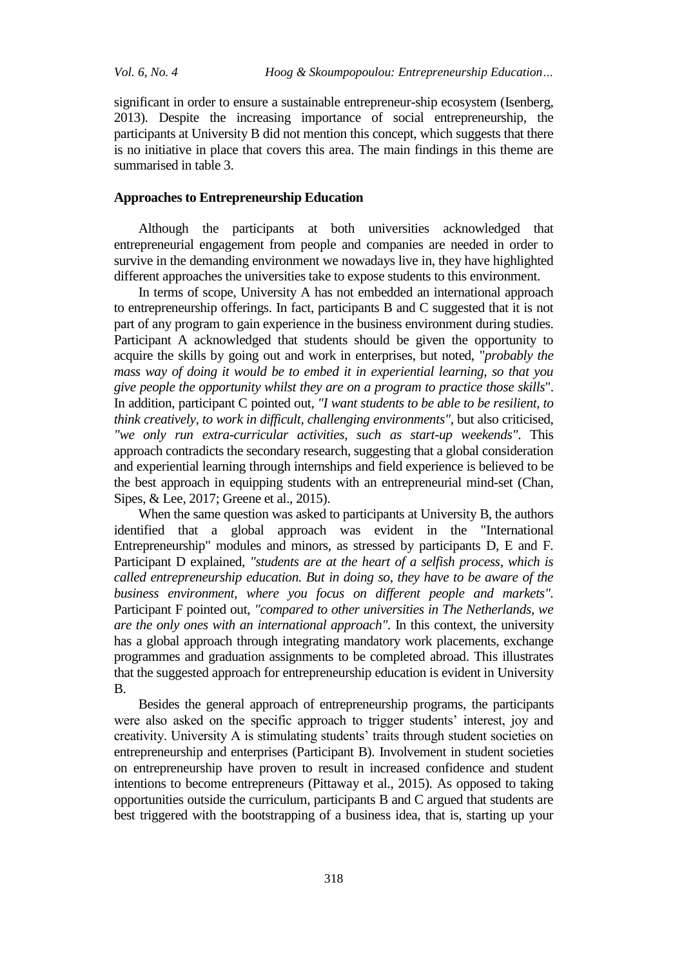significant in order to ensure a sustainable entrepreneur-ship ecosystem (Isenberg, 2013). Despite the increasing importance of social entrepreneurship, the participants at University B did not mention this concept, which suggests that there is no initiative in place that covers this area. The main findings in this theme are summarised in table 3.

#### **Approaches to Entrepreneurship Education**

Although the participants at both universities acknowledged that entrepreneurial engagement from people and companies are needed in order to survive in the demanding environment we nowadays live in, they have highlighted different approaches the universities take to expose students to this environment.

In terms of scope, University A has not embedded an international approach to entrepreneurship offerings. In fact, participants B and C suggested that it is not part of any program to gain experience in the business environment during studies. Participant A acknowledged that students should be given the opportunity to acquire the skills by going out and work in enterprises, but noted, "*probably the mass way of doing it would be to embed it in experiential learning, so that you give people the opportunity whilst they are on a program to practice those skills*". In addition, participant C pointed out, *"I want students to be able to be resilient, to think creatively, to work in difficult, challenging environments",* but also criticised, *"we only run extra-curricular activities, such as start-up weekends"*. This approach contradicts the secondary research, suggesting that a global consideration and experiential learning through internships and field experience is believed to be the best approach in equipping students with an entrepreneurial mind-set (Chan, Sipes, & Lee, 2017; Greene et al., 2015).

When the same question was asked to participants at University B, the authors identified that a global approach was evident in the "International Entrepreneurship" modules and minors, as stressed by participants D, E and F. Participant D explained, *"students are at the heart of a selfish process, which is called entrepreneurship education. But in doing so, they have to be aware of the business environment, where you focus on different people and markets".*  Participant F pointed out, *"compared to other universities in The Netherlands, we are the only ones with an international approach".* In this context, the university has a global approach through integrating mandatory work placements, exchange programmes and graduation assignments to be completed abroad. This illustrates that the suggested approach for entrepreneurship education is evident in University B.

Besides the general approach of entrepreneurship programs, the participants were also asked on the specific approach to trigger students' interest, joy and creativity. University A is stimulating students' traits through student societies on entrepreneurship and enterprises (Participant B). Involvement in student societies on entrepreneurship have proven to result in increased confidence and student intentions to become entrepreneurs (Pittaway et al., 2015). As opposed to taking opportunities outside the curriculum, participants B and C argued that students are best triggered with the bootstrapping of a business idea, that is, starting up your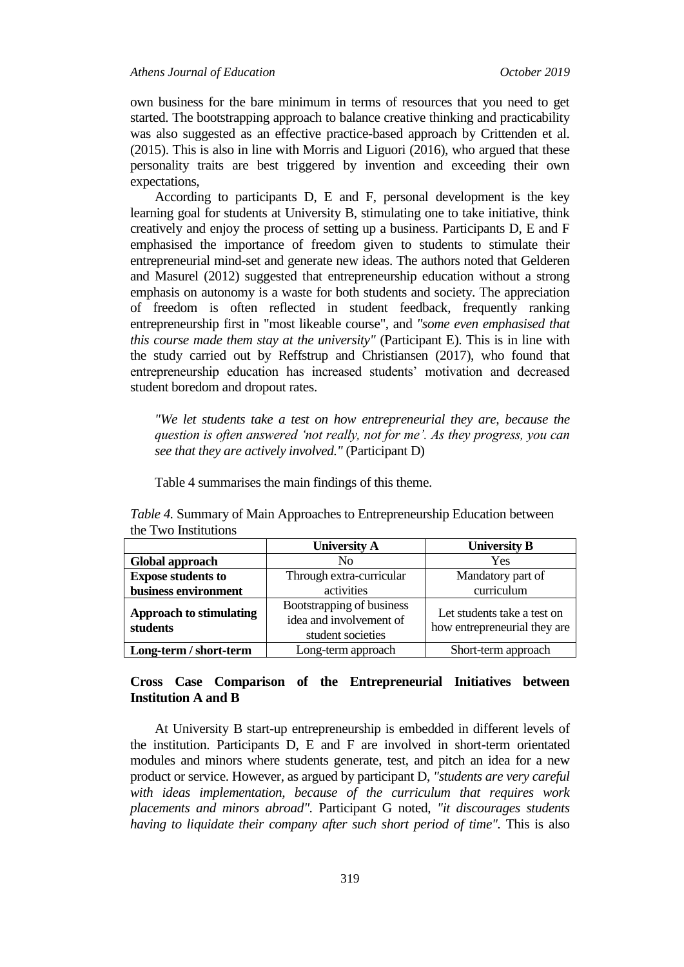own business for the bare minimum in terms of resources that you need to get started. The bootstrapping approach to balance creative thinking and practicability was also suggested as an effective practice-based approach by Crittenden et al. (2015). This is also in line with Morris and Liguori (2016), who argued that these personality traits are best triggered by invention and exceeding their own expectations,

According to participants D, E and F, personal development is the key learning goal for students at University B, stimulating one to take initiative, think creatively and enjoy the process of setting up a business. Participants D, E and F emphasised the importance of freedom given to students to stimulate their entrepreneurial mind-set and generate new ideas. The authors noted that Gelderen and Masurel (2012) suggested that entrepreneurship education without a strong emphasis on autonomy is a waste for both students and society. The appreciation of freedom is often reflected in student feedback, frequently ranking entrepreneurship first in "most likeable course", and *"some even emphasised that this course made them stay at the university"* (Participant E). This is in line with the study carried out by Reffstrup and Christiansen (2017), who found that entrepreneurship education has increased students' motivation and decreased student boredom and dropout rates.

*"We let students take a test on how entrepreneurial they are, because the question is often answered 'not really, not for me'. As they progress, you can see that they are actively involved."* (Participant D)

Table 4 summarises the main findings of this theme.

|                                            | <b>University A</b>                                                       | <b>University B</b>                                         |
|--------------------------------------------|---------------------------------------------------------------------------|-------------------------------------------------------------|
| Global approach                            | N <sub>0</sub>                                                            | Yes                                                         |
| <b>Expose students to</b>                  | Through extra-curricular                                                  | Mandatory part of                                           |
| business environment                       | activities                                                                | curriculum                                                  |
| <b>Approach to stimulating</b><br>students | Bootstrapping of business<br>idea and involvement of<br>student societies | Let students take a test on<br>how entrepreneurial they are |
| Long-term / short-term                     | Long-term approach                                                        | Short-term approach                                         |

*Table 4.* Summary of Main Approaches to Entrepreneurship Education between the Two Institutions

### **Cross Case Comparison of the Entrepreneurial Initiatives between Institution A and B**

At University B start-up entrepreneurship is embedded in different levels of the institution. Participants D, E and F are involved in short-term orientated modules and minors where students generate, test, and pitch an idea for a new product or service. However, as argued by participant D, *"students are very careful with ideas implementation, because of the curriculum that requires work placements and minors abroad".* Participant G noted, *"it discourages students having to liquidate their company after such short period of time".* This is also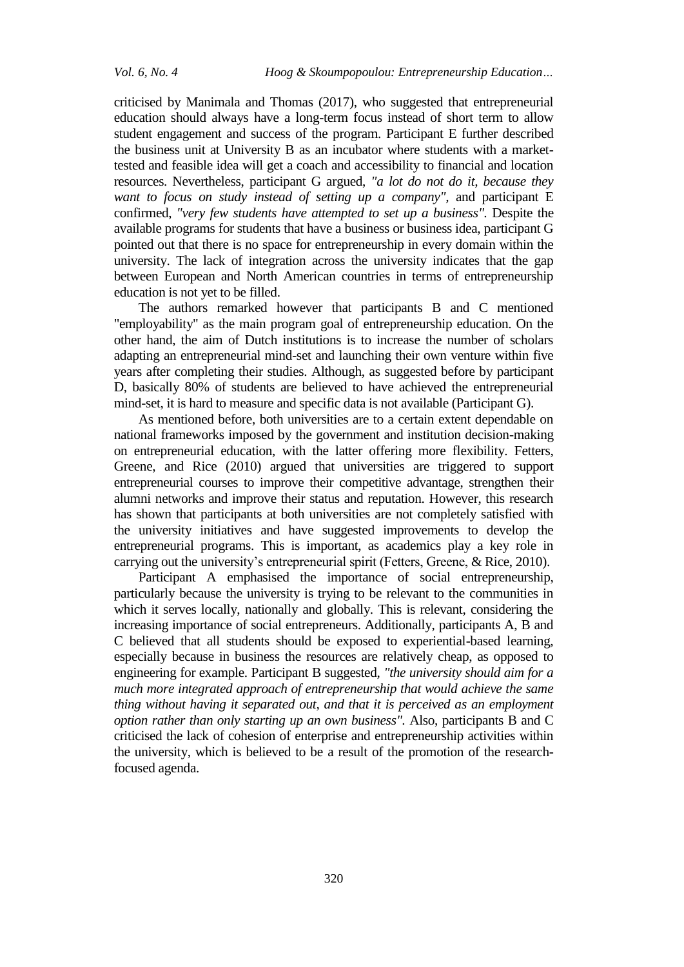criticised by Manimala and Thomas (2017), who suggested that entrepreneurial education should always have a long-term focus instead of short term to allow student engagement and success of the program. Participant E further described the business unit at University B as an incubator where students with a markettested and feasible idea will get a coach and accessibility to financial and location resources. Nevertheless, participant G argued, *"a lot do not do it, because they want to focus on study instead of setting up a company",* and participant E confirmed, *"very few students have attempted to set up a business".* Despite the available programs for students that have a business or business idea, participant G pointed out that there is no space for entrepreneurship in every domain within the university. The lack of integration across the university indicates that the gap between European and North American countries in terms of entrepreneurship education is not yet to be filled.

The authors remarked however that participants B and C mentioned "employability" as the main program goal of entrepreneurship education. On the other hand, the aim of Dutch institutions is to increase the number of scholars adapting an entrepreneurial mind-set and launching their own venture within five years after completing their studies. Although, as suggested before by participant D, basically 80% of students are believed to have achieved the entrepreneurial mind-set, it is hard to measure and specific data is not available (Participant G).

As mentioned before, both universities are to a certain extent dependable on national frameworks imposed by the government and institution decision-making on entrepreneurial education, with the latter offering more flexibility. Fetters, Greene, and Rice (2010) argued that universities are triggered to support entrepreneurial courses to improve their competitive advantage, strengthen their alumni networks and improve their status and reputation. However, this research has shown that participants at both universities are not completely satisfied with the university initiatives and have suggested improvements to develop the entrepreneurial programs. This is important, as academics play a key role in carrying out the university's entrepreneurial spirit Fetters, Greene, & Rice, 2010).

Participant A emphasised the importance of social entrepreneurship, particularly because the university is trying to be relevant to the communities in which it serves locally, nationally and globally. This is relevant, considering the increasing importance of social entrepreneurs. Additionally, participants A, B and C believed that all students should be exposed to experiential-based learning, especially because in business the resources are relatively cheap, as opposed to engineering for example. Participant B suggested, *"the university should aim for a much more integrated approach of entrepreneurship that would achieve the same thing without having it separated out, and that it is perceived as an employment option rather than only starting up an own business".* Also, participants B and C criticised the lack of cohesion of enterprise and entrepreneurship activities within the university, which is believed to be a result of the promotion of the researchfocused agenda.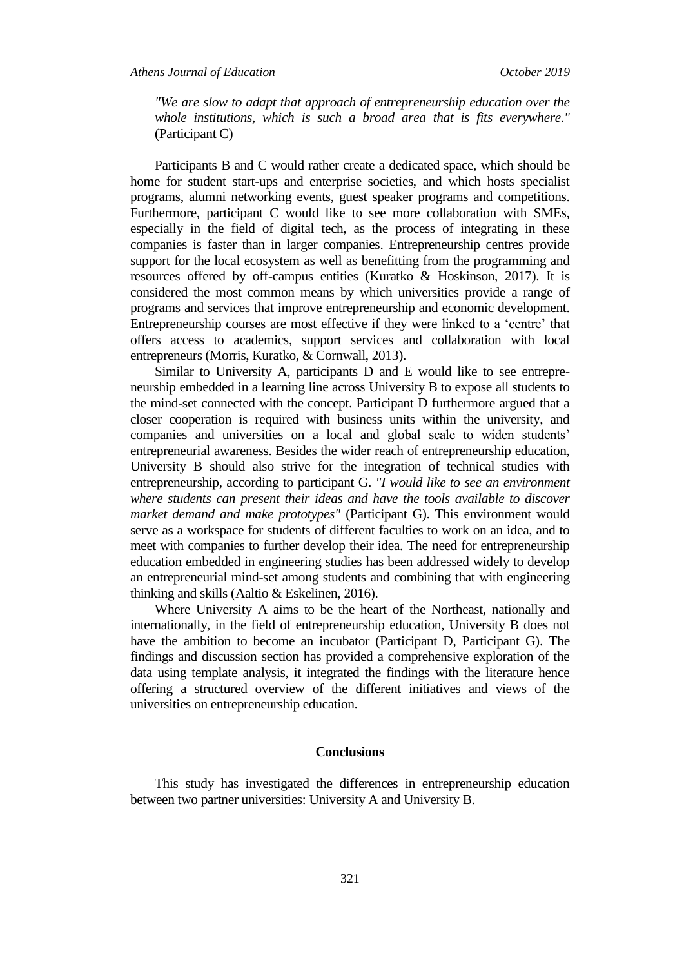*"We are slow to adapt that approach of entrepreneurship education over the whole institutions, which is such a broad area that is fits everywhere."*  (Participant C)

Participants B and C would rather create a dedicated space, which should be home for student start-ups and enterprise societies, and which hosts specialist programs, alumni networking events, guest speaker programs and competitions. Furthermore, participant C would like to see more collaboration with SMEs, especially in the field of digital tech, as the process of integrating in these companies is faster than in larger companies. Entrepreneurship centres provide support for the local ecosystem as well as benefitting from the programming and resources offered by off-campus entities (Kuratko & Hoskinson, 2017). It is considered the most common means by which universities provide a range of programs and services that improve entrepreneurship and economic development. Entrepreneurship courses are most effective if they were linked to a 'centre' that offers access to academics, support services and collaboration with local entrepreneurs (Morris, Kuratko, & Cornwall, 2013).

Similar to University A, participants D and E would like to see entrepreneurship embedded in a learning line across University B to expose all students to the mind-set connected with the concept. Participant D furthermore argued that a closer cooperation is required with business units within the university, and companies and universities on a local and global scale to widen students' entrepreneurial awareness. Besides the wider reach of entrepreneurship education, University B should also strive for the integration of technical studies with entrepreneurship, according to participant G. *"I would like to see an environment where students can present their ideas and have the tools available to discover market demand and make prototypes"* (Participant G). This environment would serve as a workspace for students of different faculties to work on an idea, and to meet with companies to further develop their idea. The need for entrepreneurship education embedded in engineering studies has been addressed widely to develop an entrepreneurial mind-set among students and combining that with engineering thinking and skills (Aaltio & Eskelinen, 2016).

Where University A aims to be the heart of the Northeast, nationally and internationally, in the field of entrepreneurship education, University B does not have the ambition to become an incubator (Participant D, Participant G). The findings and discussion section has provided a comprehensive exploration of the data using template analysis, it integrated the findings with the literature hence offering a structured overview of the different initiatives and views of the universities on entrepreneurship education.

#### **Conclusions**

This study has investigated the differences in entrepreneurship education between two partner universities: University A and University B.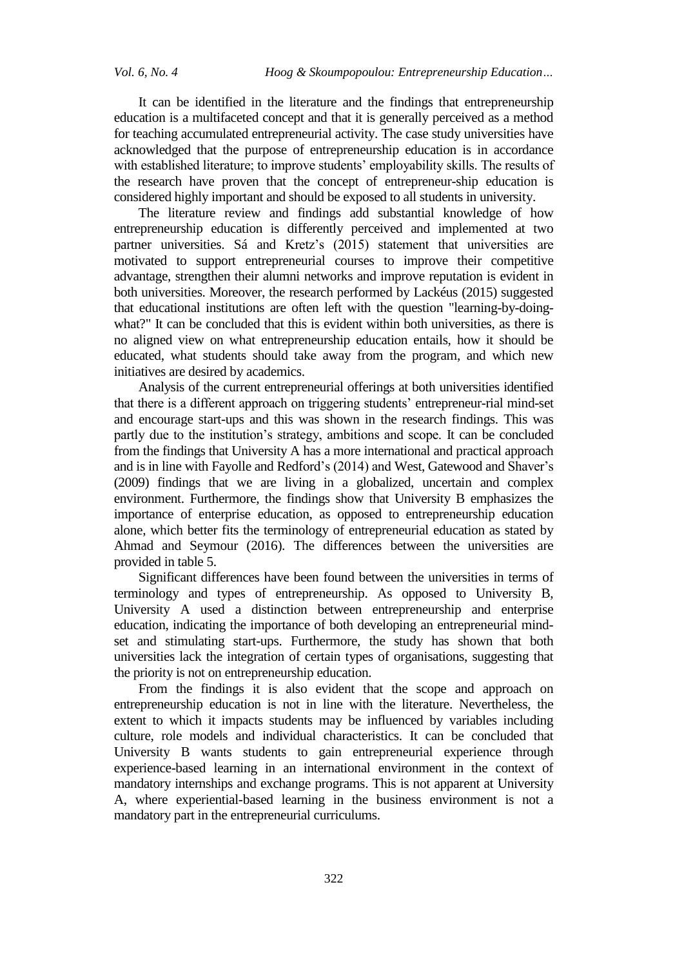It can be identified in the literature and the findings that entrepreneurship education is a multifaceted concept and that it is generally perceived as a method for teaching accumulated entrepreneurial activity. The case study universities have acknowledged that the purpose of entrepreneurship education is in accordance with established literature; to improve students' employability skills. The results of the research have proven that the concept of entrepreneur-ship education is considered highly important and should be exposed to all students in university.

The literature review and findings add substantial knowledge of how entrepreneurship education is differently perceived and implemented at two partner universities. Sá and Kretz's (2015) statement that universities are motivated to support entrepreneurial courses to improve their competitive advantage, strengthen their alumni networks and improve reputation is evident in both universities. Moreover, the research performed by Lackéus (2015) suggested that educational institutions are often left with the question "learning-by-doingwhat?" It can be concluded that this is evident within both universities, as there is no aligned view on what entrepreneurship education entails, how it should be educated, what students should take away from the program, and which new initiatives are desired by academics.

Analysis of the current entrepreneurial offerings at both universities identified that there is a different approach on triggering students' entrepreneur-rial mind-set and encourage start-ups and this was shown in the research findings. This was partly due to the institution's strategy, ambitions and scope. It can be concluded from the findings that University A has a more international and practical approach and is in line with Fayolle and Redford's (2014) and West, Gatewood and Shaver's (2009) findings that we are living in a globalized, uncertain and complex environment. Furthermore, the findings show that University B emphasizes the importance of enterprise education, as opposed to entrepreneurship education alone, which better fits the terminology of entrepreneurial education as stated by Ahmad and Seymour (2016). The differences between the universities are provided in table 5.

Significant differences have been found between the universities in terms of terminology and types of entrepreneurship. As opposed to University B, University A used a distinction between entrepreneurship and enterprise education, indicating the importance of both developing an entrepreneurial mindset and stimulating start-ups. Furthermore, the study has shown that both universities lack the integration of certain types of organisations, suggesting that the priority is not on entrepreneurship education.

From the findings it is also evident that the scope and approach on entrepreneurship education is not in line with the literature. Nevertheless, the extent to which it impacts students may be influenced by variables including culture, role models and individual characteristics. It can be concluded that University B wants students to gain entrepreneurial experience through experience-based learning in an international environment in the context of mandatory internships and exchange programs. This is not apparent at University A, where experiential-based learning in the business environment is not a mandatory part in the entrepreneurial curriculums.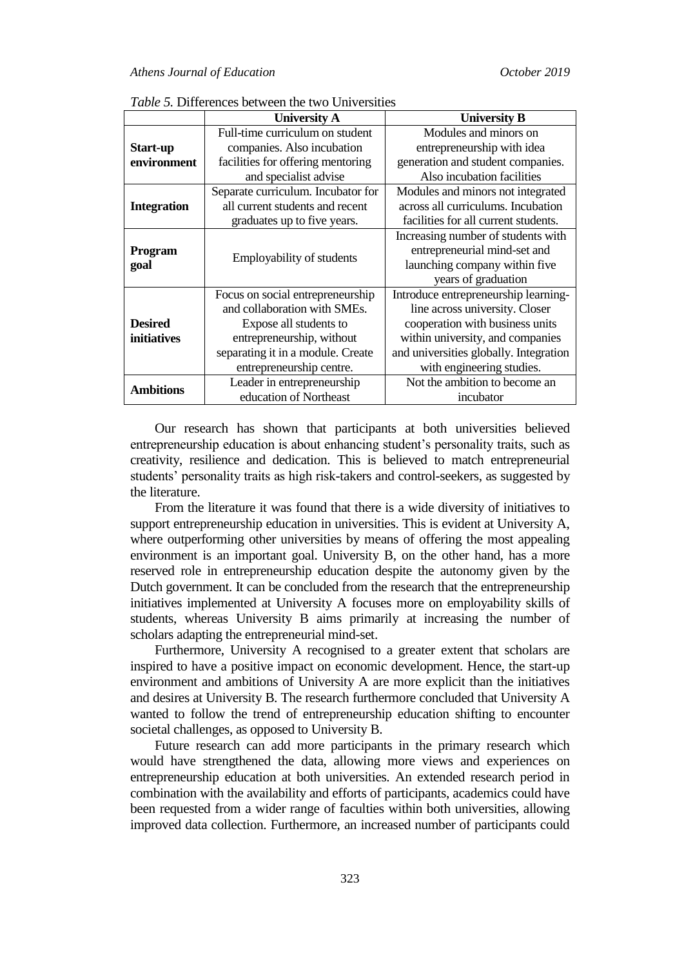|                        | <b>University A</b>                | <b>University B</b>                    |
|------------------------|------------------------------------|----------------------------------------|
|                        | Full-time curriculum on student    | Modules and minors on                  |
| Start-up               | companies. Also incubation         | entrepreneurship with idea             |
| environment            | facilities for offering mentoring  | generation and student companies.      |
|                        | and specialist advise              | Also incubation facilities             |
|                        | Separate curriculum. Incubator for | Modules and minors not integrated      |
| <b>Integration</b>     | all current students and recent    | across all curriculums. Incubation     |
|                        | graduates up to five years.        | facilities for all current students.   |
|                        |                                    | Increasing number of students with     |
| <b>Program</b><br>goal | <b>Employability of students</b>   | entrepreneurial mind-set and           |
|                        |                                    | launching company within five          |
|                        |                                    | years of graduation                    |
|                        | Focus on social entrepreneurship   | Introduce entrepreneurship learning-   |
|                        | and collaboration with SMEs.       | line across university. Closer         |
| <b>Desired</b>         | Expose all students to             | cooperation with business units        |
| <i>initiatives</i>     | entrepreneurship, without          | within university, and companies       |
|                        | separating it in a module. Create  | and universities globally. Integration |
|                        | entrepreneurship centre.           | with engineering studies.              |
| <b>Ambitions</b>       | Leader in entrepreneurship         | Not the ambition to become an          |
|                        | education of Northeast             | incubator                              |

*Table 5.* Differences between the two Universities

Our research has shown that participants at both universities believed entrepreneurship education is about enhancing student's personality traits, such as creativity, resilience and dedication. This is believed to match entrepreneurial students' personality traits as high risk-takers and control-seekers, as suggested by the literature.

From the literature it was found that there is a wide diversity of initiatives to support entrepreneurship education in universities. This is evident at University A, where outperforming other universities by means of offering the most appealing environment is an important goal. University B, on the other hand, has a more reserved role in entrepreneurship education despite the autonomy given by the Dutch government. It can be concluded from the research that the entrepreneurship initiatives implemented at University A focuses more on employability skills of students, whereas University B aims primarily at increasing the number of scholars adapting the entrepreneurial mind-set.

Furthermore, University A recognised to a greater extent that scholars are inspired to have a positive impact on economic development. Hence, the start-up environment and ambitions of University A are more explicit than the initiatives and desires at University B. The research furthermore concluded that University A wanted to follow the trend of entrepreneurship education shifting to encounter societal challenges, as opposed to University B.

Future research can add more participants in the primary research which would have strengthened the data, allowing more views and experiences on entrepreneurship education at both universities. An extended research period in combination with the availability and efforts of participants, academics could have been requested from a wider range of faculties within both universities, allowing improved data collection. Furthermore, an increased number of participants could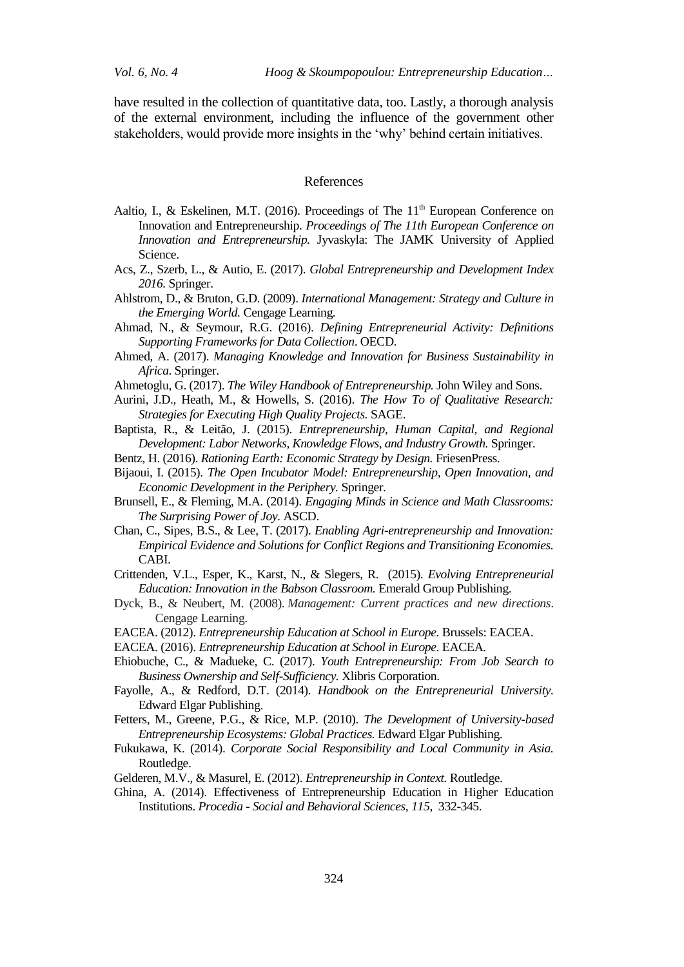have resulted in the collection of quantitative data, too. Lastly, a thorough analysis of the external environment, including the influence of the government other stakeholders, would provide more insights in the 'why' behind certain initiatives.

#### References

- Aaltio, I., & Eskelinen, M.T. (2016). Proceedings of The  $11<sup>th</sup>$  European Conference on Innovation and Entrepreneurship. *Proceedings of The 11th European Conference on Innovation and Entrepreneurship.* Jyvaskyla: The JAMK University of Applied Science.
- Acs, Z., Szerb, L., & Autio, E. (2017). *Global Entrepreneurship and Development Index 2016.* Springer.
- Ahlstrom, D., & Bruton, G.D. (2009). *International Management: Strategy and Culture in the Emerging World.* Cengage Learning.
- Ahmad, N., & Seymour, R.G. (2016). *Defining Entrepreneurial Activity: Definitions Supporting Frameworks for Data Collection*. OECD.
- Ahmed, A. (2017). *Managing Knowledge and Innovation for Business Sustainability in Africa*. Springer.
- Ahmetoglu, G. (2017). *The Wiley Handbook of Entrepreneurship.* John Wiley and Sons.
- Aurini, J.D., Heath, M., & Howells, S. (2016). *The How To of Qualitative Research: Strategies for Executing High Quality Projects.* SAGE.
- Baptista, R., & Leitão, J. (2015). *Entrepreneurship, Human Capital, and Regional Development: Labor Networks, Knowledge Flows, and Industry Growth.* Springer.
- Bentz, H. (2016). *Rationing Earth: Economic Strategy by Design.* FriesenPress.
- Bijaoui, I. (2015). *The Open Incubator Model: Entrepreneurship, Open Innovation, and Economic Development in the Periphery.* Springer.
- Brunsell, E., & Fleming, M.A. (2014). *Engaging Minds in Science and Math Classrooms: The Surprising Power of Joy.* ASCD.
- Chan, C., Sipes, B.S., & Lee, T. (2017). *Enabling Agri-entrepreneurship and Innovation: Empirical Evidence and Solutions for Conflict Regions and Transitioning Economies.* CABI.
- Crittenden, V.L., Esper, K., Karst, N., & Slegers, R. (2015). *Evolving Entrepreneurial Education: Innovation in the Babson Classroom.* Emerald Group Publishing.
- Dyck, B., & Neubert, M. (2008). *Management: Current practices and new directions*. Cengage Learning.
- EACEA. (2012). *Entrepreneurship Education at School in Europe.* Brussels: EACEA.
- EACEA. (2016). *Entrepreneurship Education at School in Europe.* EACEA.
- Ehiobuche, C., & Madueke, C. (2017). *Youth Entrepreneurship: From Job Search to Business Ownership and Self-Sufficiency.* Xlibris Corporation.
- Fayolle, A., & Redford, D.T. (2014). *Handbook on the Entrepreneurial University.* Edward Elgar Publishing.
- Fetters, M., Greene, P.G., & Rice, M.P. (2010). *The Development of University-based Entrepreneurship Ecosystems: Global Practices.* Edward Elgar Publishing.
- Fukukawa, K. (2014). *Corporate Social Responsibility and Local Community in Asia.* Routledge.
- Gelderen, M.V., & Masurel, E. (2012). *Entrepreneurship in Context.* Routledge.
- Ghina, A. (2014). Effectiveness of Entrepreneurship Education in Higher Education Institutions. *Procedia - Social and Behavioral Sciences*, *115*, 332-345.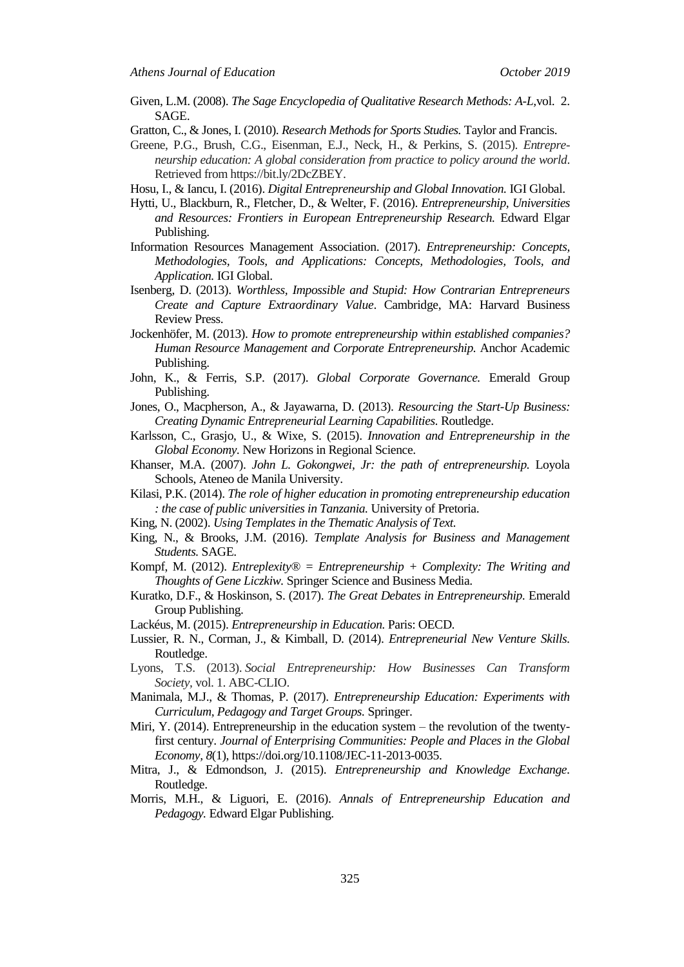- Given, L.M. (2008). *The Sage Encyclopedia of Qualitative Research Methods: A-L,*vol. 2. SAGE.
- Gratton, C., & Jones, I. (2010). *Research Methods for Sports Studies.* Taylor and Francis.
- Greene, P.G., Brush, C.G., Eisenman, E.J., Neck, H., & Perkins, S. (2015). *Entrepreneurship education: A global consideration from practice to policy around the world*. Retrieved from https://bit.ly/2DcZBEY.
- Hosu, I., & Iancu, I. (2016). *Digital Entrepreneurship and Global Innovation.* IGI Global.
- Hytti, U., Blackburn, R., Fletcher, D., & Welter, F. (2016). *Entrepreneurship, Universities and Resources: Frontiers in European Entrepreneurship Research.* Edward Elgar Publishing.
- Information Resources Management Association. (2017). *Entrepreneurship: Concepts, Methodologies, Tools, and Applications: Concepts, Methodologies, Tools, and Application.* IGI Global.
- Isenberg, D. (2013). *Worthless, Impossible and Stupid: How Contrarian Entrepreneurs Create and Capture Extraordinary Value*. Cambridge, MA: Harvard Business Review Press.
- Jockenhöfer, M. (2013). *How to promote entrepreneurship within established companies? Human Resource Management and Corporate Entrepreneurship.* Anchor Academic Publishing.
- John, K., & Ferris, S.P. (2017). *Global Corporate Governance.* Emerald Group Publishing.
- Jones, O., Macpherson, A., & Jayawarna, D. (2013). *Resourcing the Start-Up Business: Creating Dynamic Entrepreneurial Learning Capabilities.* Routledge.
- Karlsson, C., Grasjo, U., & Wixe, S. (2015). *Innovation and Entrepreneurship in the Global Economy.* New Horizons in Regional Science.
- Khanser, M.A. (2007). *John L. Gokongwei, Jr: the path of entrepreneurship.* Loyola Schools, Ateneo de Manila University.
- Kilasi, P.K. (2014). *The role of higher education in promoting entrepreneurship education : the case of public universities in Tanzania.* University of Pretoria.
- King, N. (2002). *Using Templates in the Thematic Analysis of Text.*
- King, N., & Brooks, J.M. (2016). *Template Analysis for Business and Management Students.* SAGE.
- Kompf, M. (2012). *Entreplexity® = Entrepreneurship + Complexity: The Writing and Thoughts of Gene Liczkiw.* Springer Science and Business Media.
- Kuratko, D.F., & Hoskinson, S. (2017). *The Great Debates in Entrepreneurship.* Emerald Group Publishing.
- Lackéus, M. (2015). *Entrepreneurship in Education.* Paris: OECD.
- Lussier, R. N., Corman, J., & Kimball, D. (2014). *Entrepreneurial New Venture Skills.* Routledge.
- Lyons, T.S. (2013). *Social Entrepreneurship: How Businesses Can Transform Society,* vol. 1. ABC-CLIO.
- Manimala, M.J., & Thomas, P. (2017). *Entrepreneurship Education: Experiments with Curriculum, Pedagogy and Target Groups.* Springer.
- Miri, Y. (2014). Entrepreneurship in the education system the revolution of the twentyfirst century. *Journal of Enterprising Communities: People and Places in the Global Economy, 8*(1), https://doi.org/10.1108/JEC-11-2013-0035.
- Mitra, J., & Edmondson, J. (2015). *Entrepreneurship and Knowledge Exchange.* Routledge.
- Morris, M.H., & Liguori, E. (2016). *Annals of Entrepreneurship Education and Pedagogy.* Edward Elgar Publishing.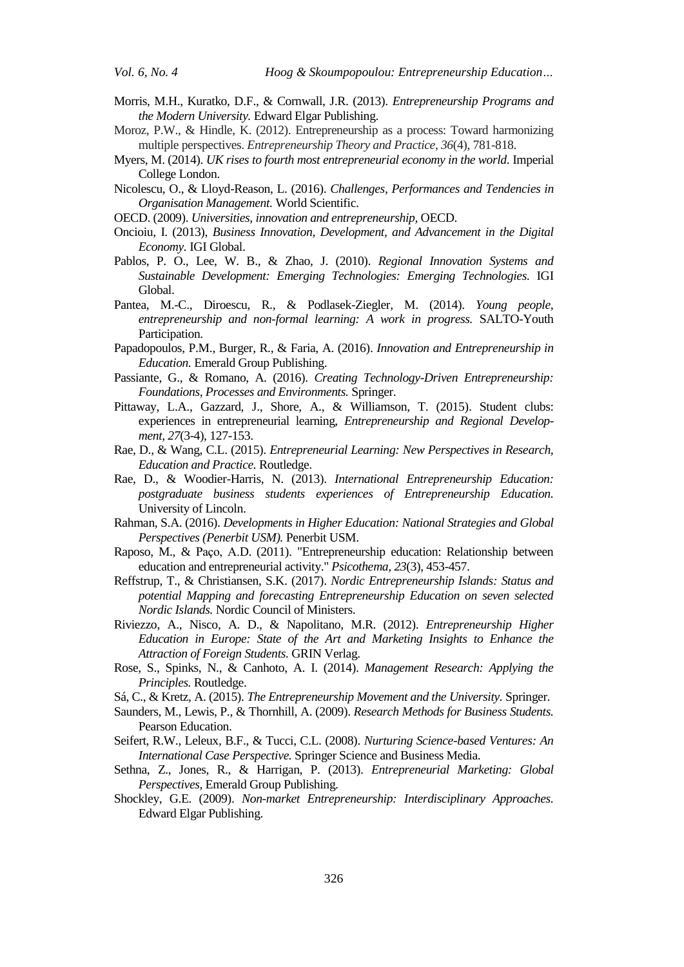- Morris, M.H., Kuratko, D.F., & Cornwall, J.R. (2013). *Entrepreneurship Programs and the Modern University.* Edward Elgar Publishing.
- Moroz, P.W., & Hindle, K. (2012). Entrepreneurship as a process: Toward harmonizing multiple perspectives. *Entrepreneurship Theory and Practice*, *36*(4), 781-818.
- Myers, M. (2014). *UK rises to fourth most entrepreneurial economy in the world*. Imperial College London.
- Nicolescu, O., & Lloyd-Reason, L. (2016). *Challenges, Performances and Tendencies in Organisation Management.* World Scientific.
- OECD. (2009). *Universities, innovation and entrepreneurship,* OECD.
- Oncioiu, I. (2013), *Business Innovation, Development, and Advancement in the Digital Economy.* IGI Global.
- Pablos, P. O., Lee, W. B., & Zhao, J. (2010). *Regional Innovation Systems and Sustainable Development: Emerging Technologies: Emerging Technologies.* IGI Global.
- Pantea, M.-C., Diroescu, R., & Podlasek-Ziegler, M. (2014). *Young people, entrepreneurship and non-formal learning: A work in progress.* SALTO-Youth Participation.
- Papadopoulos, P.M., Burger, R., & Faria, A. (2016). *Innovation and Entrepreneurship in Education.* Emerald Group Publishing.
- Passiante, G., & Romano, A. (2016). *Creating Technology-Driven Entrepreneurship: Foundations, Processes and Environments.* Springer.
- Pittaway, L.A., Gazzard, J., Shore, A., & Williamson, T. (2015). Student clubs: experiences in entrepreneurial learning, *Entrepreneurship and Regional Development, 27*(3-4), 127-153.
- Rae, D., & Wang, C.L. (2015). *Entrepreneurial Learning: New Perspectives in Research, Education and Practice.* Routledge.
- Rae, D., & Woodier-Harris, N. (2013). *International Entrepreneurship Education: postgraduate business students experiences of Entrepreneurship Education.* University of Lincoln.
- Rahman, S.A. (2016). *Developments in Higher Education: National Strategies and Global Perspectives (Penerbit USM).* Penerbit USM.
- Raposo, M., & Paço, A.D. (2011). "Entrepreneurship education: Relationship between education and entrepreneurial activity." *Psicothema, 23*(3), 453-457.
- Reffstrup, T., & Christiansen, S.K. (2017). *Nordic Entrepreneurship Islands: Status and potential Mapping and forecasting Entrepreneurship Education on seven selected Nordic Islands.* Nordic Council of Ministers.
- Riviezzo, A., Nisco, A. D., & Napolitano, M.R. (2012). *Entrepreneurship Higher Education in Europe: State of the Art and Marketing Insights to Enhance the Attraction of Foreign Students.* GRIN Verlag.
- Rose, S., Spinks, N., & Canhoto, A. I. (2014). *Management Research: Applying the Principles.* Routledge.
- Sá, C., & Kretz, A. (2015). *The Entrepreneurship Movement and the University.* Springer.
- Saunders, M., Lewis, P., & Thornhill, A. (2009). *Research Methods for Business Students.* Pearson Education.
- Seifert, R.W., Leleux, B.F., & Tucci, C.L. (2008). *Nurturing Science-based Ventures: An International Case Perspective.* Springer Science and Business Media.
- Sethna, Z., Jones, R., & Harrigan, P. (2013). *Entrepreneurial Marketing: Global Perspectives,* Emerald Group Publishing.
- Shockley, G.E. (2009). *Non-market Entrepreneurship: Interdisciplinary Approaches.* Edward Elgar Publishing.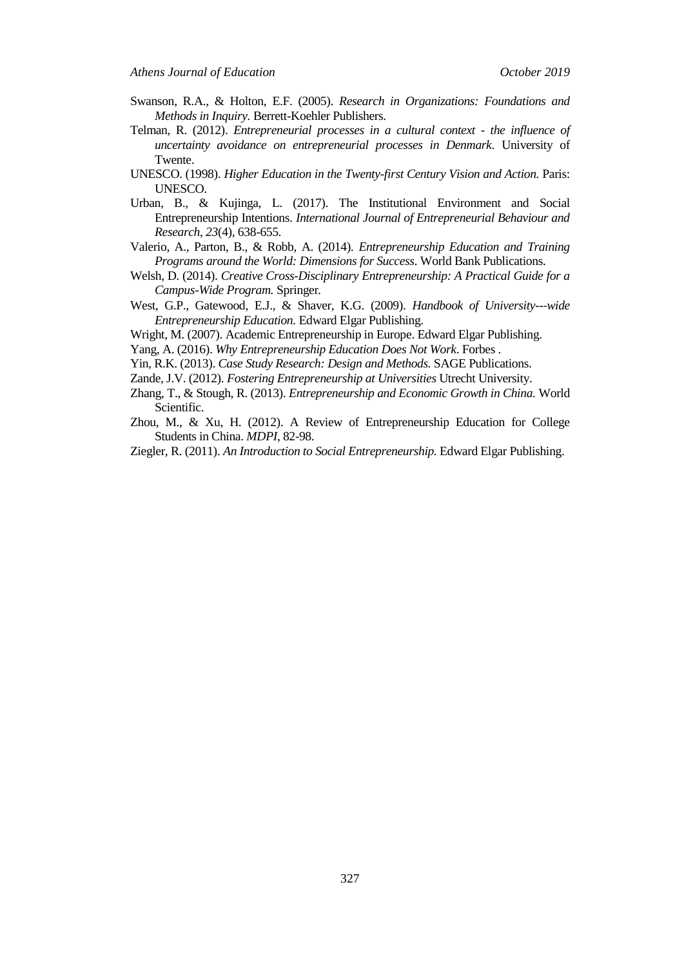- Swanson, R.A., & Holton, E.F. (2005). *Research in Organizations: Foundations and Methods in Inquiry.* Berrett-Koehler Publishers.
- Telman, R. (2012). *Entrepreneurial processes in a cultural context - the influence of uncertainty avoidance on entrepreneurial processes in Denmark.* University of Twente.
- UNESCO. (1998). *Higher Education in the Twenty-first Century Vision and Action.* Paris: UNESCO.
- Urban, B., & Kujinga, L. (2017). The Institutional Environment and Social Entrepreneurship Intentions. *International Journal of Entrepreneurial Behaviour and Research*, *23*(4), 638-655.
- Valerio, A., Parton, B., & Robb, A. (2014). *Entrepreneurship Education and Training Programs around the World: Dimensions for Success.* World Bank Publications.
- Welsh, D. (2014). *Creative Cross-Disciplinary Entrepreneurship: A Practical Guide for a Campus-Wide Program.* Springer*.*
- West, G.P., Gatewood, E.J., & Shaver, K.G. (2009). *Handbook of University--‐wide Entrepreneurship Education.* Edward Elgar Publishing.
- Wright, M. (2007). Academic Entrepreneurship in Europe. Edward Elgar Publishing.
- Yang, A. (2016). *Why Entrepreneurship Education Does Not Work*. Forbes .
- Yin, R.K. (2013). *Case Study Research: Design and Methods.* SAGE Publications.
- Zande, J.V. (2012). *Fostering Entrepreneurship at Universities* Utrecht University.
- Zhang, T., & Stough, R. (2013). *Entrepreneurship and Economic Growth in China.* World Scientific.
- Zhou, M., & Xu, H. (2012). A Review of Entrepreneurship Education for College Students in China. *MDPI*, 82-98.
- Ziegler, R. (2011). *An Introduction to Social Entrepreneurship.* Edward Elgar Publishing.